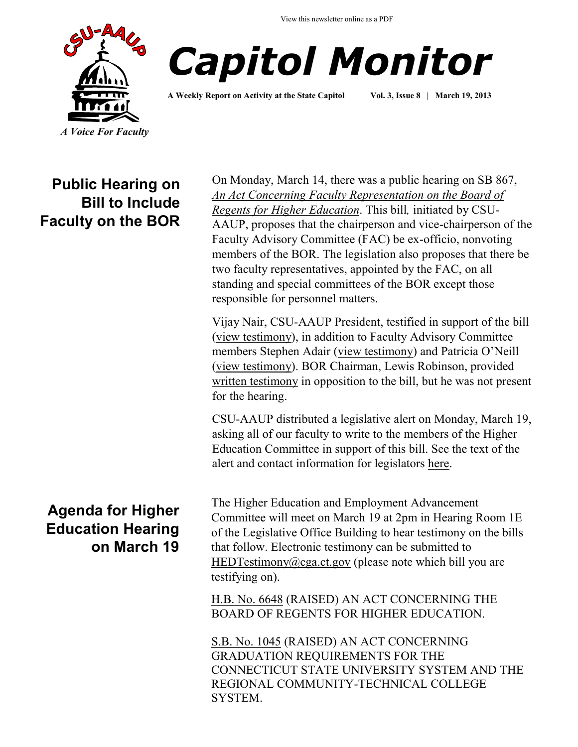View this newsletter online as a PDF





**A Weekly Report on Activity at the State Capitol Vol. 3, Issue 8 | March 19, 2013**

**Public Hearing on Bill to Include Faculty on the BOR**

**Agenda for Higher Education Hearing on March 19**

On Monday, March 14, there was a public hearing on SB 867, *[An Act Concerning Faculty Representation on the Board of](http://www.cga.ct.gov/2013/TOB/s/pdf/2013SB-00867-R00-SB.pdf)  [Regents for Higher Education](http://www.cga.ct.gov/2013/TOB/s/pdf/2013SB-00867-R00-SB.pdf)*. This bill*,* initiated by CSU-AAUP, proposes that the chairperson and vice-chairperson of the Faculty Advisory Committee (FAC) be ex-officio, nonvoting members of the BOR. The legislation also proposes that there be two faculty representatives, appointed by the FAC, on all standing and special committees of the BOR except those responsible for personnel matters.

Vijay Nair, CSU-AAUP President, testified in support of the bill [\(view testimony\)](http://www.cga.ct.gov/2013/HEDdata/Tmy/2013SB-00867-R000314-Vijay%20Nair,%20CSU-AAUP%20President-TMY.PDF), in addition to Faculty Advisory Committee members Stephen Adair ([view testimony](http://www.csuaaup.org/wp-content/uploads/2013/03/SB-867-testimony-Adair.pdf)) and Patricia O'Neill [\(view testimony\)](http://www.csuaaup.org/wp-content/uploads/2013/03/SB-867-Testimony-Oneill.pdf). BOR Chairman, Lewis Robinson, provided [written testimony](http://www.cga.ct.gov/2013/HEDdata/Tmy/2013SB-00867-R000314-Lewis%20J.%20Robinson,%20Chairman,%20Board%20of%20Regents%20for%20Higher%20Educations-TMY.PDF) in opposition to the bill, but he was not present for the hearing.

CSU-AAUP distributed a legislative alert on Monday, March 19, asking all of our faculty to write to the members of the Higher Education Committee in support of this bill. See the text of the alert and contact information for legislators [here.](http://www.csuaaup.org/?p=2363)

The Higher Education and Employment Advancement Committee will meet on March 19 at 2pm in Hearing Room 1E of the Legislative Office Building to hear testimony on the bills that follow. Electronic testimony can be submitted to [HEDTestimony@cga.ct.gov](mailto:HEDTestimony@cga.ct.gov) (please note which bill you are testifying on).

[H.B. No. 6648](http://www.cga.ct.gov/asp/cgabillstatus/cgabillstatus.asp?selBillType=Bill&bill_num=HB06648&which_year=2013) (RAISED) AN ACT CONCERNING THE BOARD OF REGENTS FOR HIGHER EDUCATION.

[S.B. No. 1045](http://www.cga.ct.gov/asp/cgabillstatus/cgabillstatus.asp?selBillType=Bill&bill_num=SB01045&which_year=2013) (RAISED) AN ACT CONCERNING GRADUATION REQUIREMENTS FOR THE CONNECTICUT STATE UNIVERSITY SYSTEM AND THE REGIONAL COMMUNITY-TECHNICAL COLLEGE SYSTEM.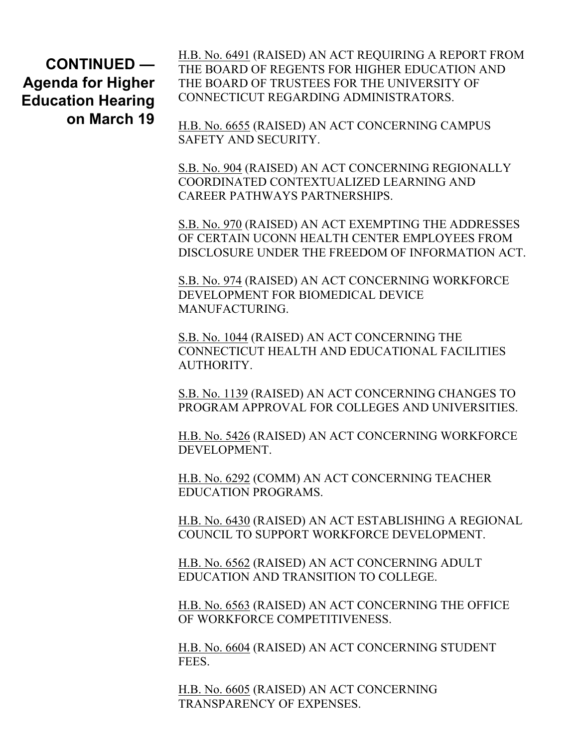**CONTINUED — Agenda for Higher Education Hearing on March 19** [H.B. No. 6491](http://www.cga.ct.gov/asp/cgabillstatus/cgabillstatus.asp?selBillType=Bill&bill_num=HB06491&which_year=2013) (RAISED) AN ACT REQUIRING A REPORT FROM THE BOARD OF REGENTS FOR HIGHER EDUCATION AND THE BOARD OF TRUSTEES FOR THE UNIVERSITY OF CONNECTICUT REGARDING ADMINISTRATORS.

[H.B. No. 6655](http://www.cga.ct.gov/asp/cgabillstatus/cgabillstatus.asp?selBillType=Bill&bill_num=HB06655&which_year=2013) (RAISED) AN ACT CONCERNING CAMPUS SAFETY AND SECURITY.

[S.B. No. 904](http://www.cga.ct.gov/asp/cgabillstatus/cgabillstatus.asp?selBillType=Bill&bill_num=SB00904&which_year=2013) (RAISED) AN ACT CONCERNING REGIONALLY COORDINATED CONTEXTUALIZED LEARNING AND CAREER PATHWAYS PARTNERSHIPS.

[S.B. No. 970](http://www.cga.ct.gov/asp/cgabillstatus/cgabillstatus.asp?selBillType=Bill&bill_num=SB00970&which_year=2013) (RAISED) AN ACT EXEMPTING THE ADDRESSES OF CERTAIN UCONN HEALTH CENTER EMPLOYEES FROM DISCLOSURE UNDER THE FREEDOM OF INFORMATION ACT.

[S.B. No. 974](http://www.cga.ct.gov/asp/cgabillstatus/cgabillstatus.asp?selBillType=Bill&bill_num=SB00974&which_year=2013) (RAISED) AN ACT CONCERNING WORKFORCE DEVELOPMENT FOR BIOMEDICAL DEVICE **MANUFACTURING** 

[S.B. No. 1044](http://www.cga.ct.gov/asp/cgabillstatus/cgabillstatus.asp?selBillType=Bill&bill_num=SB01044&which_year=2013) (RAISED) AN ACT CONCERNING THE CONNECTICUT HEALTH AND EDUCATIONAL FACILITIES AUTHORITY.

[S.B. No. 1139](http://www.cga.ct.gov/asp/cgabillstatus/cgabillstatus.asp?selBillType=Bill&bill_num=SB01139&which_year=2013) (RAISED) AN ACT CONCERNING CHANGES TO PROGRAM APPROVAL FOR COLLEGES AND UNIVERSITIES.

[H.B. No. 5426](http://www.cga.ct.gov/asp/cgabillstatus/cgabillstatus.asp?selBillType=Bill&bill_num=HB05426&which_year=2013) (RAISED) AN ACT CONCERNING WORKFORCE DEVELOPMENT.

[H.B. No. 6292](http://www.cga.ct.gov/asp/cgabillstatus/cgabillstatus.asp?selBillType=Bill&bill_num=HB06292&which_year=2013) (COMM) AN ACT CONCERNING TEACHER EDUCATION PROGRAMS.

[H.B. No. 6430](http://www.cga.ct.gov/asp/cgabillstatus/cgabillstatus.asp?selBillType=Bill&bill_num=HB06430&which_year=2013) (RAISED) AN ACT ESTABLISHING A REGIONAL COUNCIL TO SUPPORT WORKFORCE DEVELOPMENT.

[H.B. No. 6562](http://www.cga.ct.gov/asp/cgabillstatus/cgabillstatus.asp?selBillType=Bill&bill_num=HB06562&which_year=2013) (RAISED) AN ACT CONCERNING ADULT EDUCATION AND TRANSITION TO COLLEGE.

[H.B. No. 6563](http://www.cga.ct.gov/asp/cgabillstatus/cgabillstatus.asp?selBillType=Bill&bill_num=HB06563&which_year=2013) (RAISED) AN ACT CONCERNING THE OFFICE OF WORKFORCE COMPETITIVENESS.

[H.B. No. 6604](http://www.cga.ct.gov/asp/cgabillstatus/cgabillstatus.asp?selBillType=Bill&bill_num=HB06604&which_year=2013) (RAISED) AN ACT CONCERNING STUDENT FEES.

[H.B. No. 6605](http://www.cga.ct.gov/asp/cgabillstatus/cgabillstatus.asp?selBillType=Bill&bill_num=HB06605&which_year=2013) (RAISED) AN ACT CONCERNING TRANSPARENCY OF EXPENSES.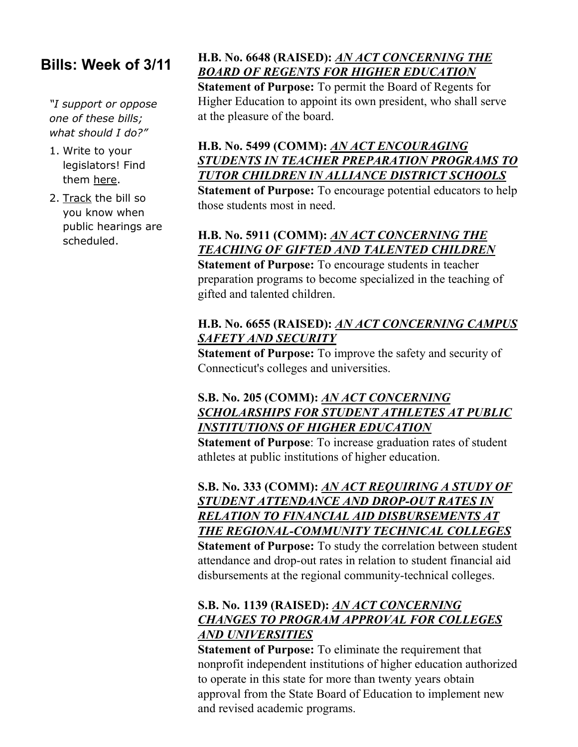# **Bills: Week of 3/11**

*"I support or oppose one of these bills; what should I do?"*

- 1. Write to your legislators! Find them here.
- 2. [Track](http://www.cga.ct.gov/aspx/CGAPublicBillTrack/Register.aspx) the bill so you know when public hearings are scheduled.

# **H.B. No. 6648 (RAISED):** *[AN ACT CONCERNING THE](http://www.cga.ct.gov/asp/cgabillstatus/cgabillstatus.asp?selBillType=Bill&bill_num=HB06648&which_year=2013)  [BOARD OF REGENTS FOR HIGHER EDUCATION](http://www.cga.ct.gov/asp/cgabillstatus/cgabillstatus.asp?selBillType=Bill&bill_num=HB06648&which_year=2013)*

**Statement of Purpose:** To permit the Board of Regents for Higher Education to appoint its own president, who shall serve at the pleasure of the board.

# **H.B. No. 5499 (COMM):** *[AN ACT ENCOURAGING](http://www.cga.ct.gov/asp/cgabillstatus/cgabillstatus.asp?selBillType=Bill&bill_num=HB05499&which_year=2013)  [STUDENTS IN TEACHER PREPARATION PROGRAMS TO](http://www.cga.ct.gov/asp/cgabillstatus/cgabillstatus.asp?selBillType=Bill&bill_num=HB05499&which_year=2013)  [TUTOR CHILDREN IN ALLIANCE DISTRICT SCHOOLS](http://www.cga.ct.gov/asp/cgabillstatus/cgabillstatus.asp?selBillType=Bill&bill_num=HB05499&which_year=2013)*

**Statement of Purpose:** To encourage potential educators to help those students most in need.

# **H.B. No. 5911 (COMM):** *[AN ACT CONCERNING THE](http://www.cga.ct.gov/asp/cgabillstatus/cgabillstatus.asp?selBillType=Bill&bill_num=HB05911&which_year=2013)  [TEACHING OF GIFTED AND TALENTED CHILDREN](http://www.cga.ct.gov/asp/cgabillstatus/cgabillstatus.asp?selBillType=Bill&bill_num=HB05911&which_year=2013)*

**Statement of Purpose:** To encourage students in teacher preparation programs to become specialized in the teaching of gifted and talented children.

#### **H.B. No. 6655 (RAISED):** *[AN ACT CONCERNING CAMPUS](http://www.cga.ct.gov/asp/cgabillstatus/cgabillstatus.asp?selBillType=Bill&bill_num=HB06655&which_year=2013)  [SAFETY AND SECURITY](http://www.cga.ct.gov/asp/cgabillstatus/cgabillstatus.asp?selBillType=Bill&bill_num=HB06655&which_year=2013)*

**Statement of Purpose:** To improve the safety and security of Connecticut's colleges and universities.

## **S.B. No. 205 (COMM):** *[AN ACT CONCERNING](http://www.cga.ct.gov/asp/cgabillstatus/cgabillstatus.asp?selBillType=Bill&bill_num=SB00205&which_year=2013)  [SCHOLARSHIPS FOR STUDENT ATHLETES AT PUBLIC](http://www.cga.ct.gov/asp/cgabillstatus/cgabillstatus.asp?selBillType=Bill&bill_num=SB00205&which_year=2013)  [INSTITUTIONS OF HIGHER EDUCATION](http://www.cga.ct.gov/asp/cgabillstatus/cgabillstatus.asp?selBillType=Bill&bill_num=SB00205&which_year=2013)*

**Statement of Purpose**: To increase graduation rates of student athletes at public institutions of higher education.

## **S.B. No. 333 (COMM):** *[AN ACT REQUIRING A STUDY OF](http://www.cga.ct.gov/asp/cgabillstatus/cgabillstatus.asp?selBillType=Bill&bill_num=SB00333&which_year=2013)  [STUDENT ATTENDANCE AND DROP-OUT RATES IN](http://www.cga.ct.gov/asp/cgabillstatus/cgabillstatus.asp?selBillType=Bill&bill_num=SB00333&which_year=2013)  [RELATION TO FINANCIAL AID DISBURSEMENTS AT](http://www.cga.ct.gov/asp/cgabillstatus/cgabillstatus.asp?selBillType=Bill&bill_num=SB00333&which_year=2013)  [THE REGIONAL-COMMUNITY TECHNICAL COLLEGES](http://www.cga.ct.gov/asp/cgabillstatus/cgabillstatus.asp?selBillType=Bill&bill_num=SB00333&which_year=2013)*

**Statement of Purpose:** To study the correlation between student attendance and drop-out rates in relation to student financial aid disbursements at the regional community-technical colleges.

## **S.B. No. 1139 (RAISED):** *[AN ACT CONCERNING](http://www.cga.ct.gov/asp/cgabillstatus/cgabillstatus.asp?selBillType=Bill&bill_num=SB01139&which_year=2013)  [CHANGES TO PROGRAM APPROVAL FOR COLLEGES](http://www.cga.ct.gov/asp/cgabillstatus/cgabillstatus.asp?selBillType=Bill&bill_num=SB01139&which_year=2013)  [AND UNIVERSITIES](http://www.cga.ct.gov/asp/cgabillstatus/cgabillstatus.asp?selBillType=Bill&bill_num=SB01139&which_year=2013)*

**Statement of Purpose:** To eliminate the requirement that nonprofit independent institutions of higher education authorized to operate in this state for more than twenty years obtain approval from the State Board of Education to implement new and revised academic programs.